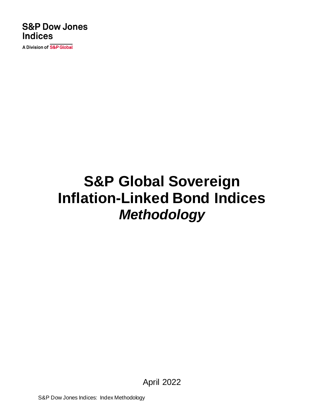### **S&P Dow Jones Indices**

A Division of S&P Global

# **S&P Global Sovereign Inflation-Linked Bond Indices** *Methodology*

April 2022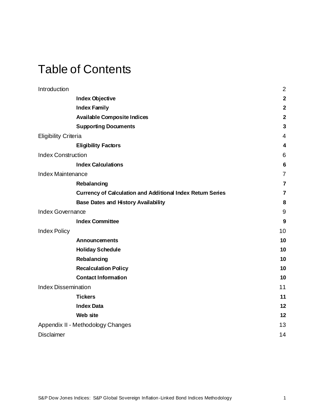### Table of Contents

| Introduction                |                                                                   | $\overline{2}$          |
|-----------------------------|-------------------------------------------------------------------|-------------------------|
|                             | <b>Index Objective</b>                                            | $\overline{\mathbf{2}}$ |
|                             | <b>Index Family</b>                                               | $\overline{\mathbf{2}}$ |
|                             | <b>Available Composite Indices</b>                                | $\overline{2}$          |
|                             | <b>Supporting Documents</b>                                       | $\mathbf{3}$            |
| <b>Eligibility Criteria</b> |                                                                   | 4                       |
|                             | <b>Eligibility Factors</b>                                        | $\overline{\mathbf{4}}$ |
| <b>Index Construction</b>   |                                                                   | $\,6$                   |
|                             | <b>Index Calculations</b>                                         | $6\phantom{1}6$         |
| <b>Index Maintenance</b>    |                                                                   | $\overline{7}$          |
|                             | Rebalancing                                                       | $\overline{7}$          |
|                             | <b>Currency of Calculation and Additional Index Return Series</b> | 7                       |
|                             | <b>Base Dates and History Availability</b>                        | 8                       |
| Index Governance            |                                                                   | $9\,$                   |
|                             | <b>Index Committee</b>                                            | 9                       |
| <b>Index Policy</b>         |                                                                   | 10                      |
|                             | <b>Announcements</b>                                              | 10                      |
|                             | <b>Holiday Schedule</b>                                           | 10                      |
|                             | Rebalancing                                                       | 10                      |
|                             | <b>Recalculation Policy</b>                                       | 10                      |
|                             | <b>Contact Information</b>                                        | 10                      |
| <b>Index Dissemination</b>  |                                                                   | 11                      |
|                             | <b>Tickers</b>                                                    | 11                      |
|                             | <b>Index Data</b>                                                 | 12                      |
|                             | Web site                                                          | 12                      |
|                             | Appendix II - Methodology Changes                                 | 13                      |
| <b>Disclaimer</b>           |                                                                   | 14                      |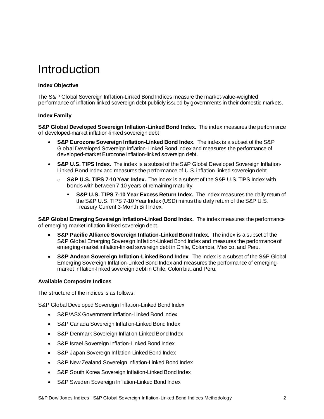### <span id="page-2-0"></span>Introduction

### <span id="page-2-1"></span>**Index Objective**

The S&P Global Sovereign Inflation-Linked Bond Indices measure the market-value-weighted performance of inflation-linked sovereign debt publicly issued by governments in their domestic markets.

#### <span id="page-2-2"></span>**Index Family**

**S&P Global Developed Sovereign Inflation-Linked Bond Index.** The index measures the performance of developed-market inflation-linked sovereign debt.

- **S&P Eurozone Sovereign Inflation-Linked Bond Index***.*The index is a subset of the S&P Global Developed Sovereign Inflation-Linked Bond Index and measures the performance of developed-market Eurozone inflation-linked sovereign debt.
- **S&P U.S. TIPS Index.** The index is a subset of the S&P Global Developed Sovereign Inflation-Linked Bond Index and measures the performance of U.S. inflation-linked sovereign debt.
	- o **S&P U.S. TIPS 7-10 Year Index.** The index is a subset of the S&P U.S. TIPS Index with bonds with between 7-10 years of remaining maturity.
		- **S&P U.S. TIPS 7-10 Year Excess Return Index.** The index measures the daily return of the S&P U.S. TIPS 7-10 Year Index (USD) minus the daily return of the S&P U.S. Treasury Current 3-Month Bill Index.

**S&P Global Emerging Sovereign Inflation-Linked Bond Index.** The index measures the performance of emerging-market inflation-linked sovereign debt.

- **S&P Pacific Alliance Sovereign Inflation-Linked Bond Index***.* The index is a subset of the S&P Global Emerging Sovereign Inflation-Linked Bond Index and measures the performance of emerging-market inflation-linked sovereign debt in Chile, Colombia, Mexico, and Peru.
- **S&P Andean Sovereign Inflation-Linked Bond Index***.* The index is a subset of the S&P Global Emerging Sovereign Inflation-Linked Bond Index and measures the performance of emergingmarket inflation-linked sovereign debt in Chile, Colombia, and Peru.

#### <span id="page-2-3"></span>**Available Composite Indices**

The structure of the indices is as follows:

S&P Global Developed Sovereign Inflation-Linked Bond Index

- S&P/ASX Government Inflation-Linked Bond Index
- S&P Canada Sovereign Inflation-Linked Bond Index
- S&P Denmark Sovereign Inflation-Linked Bond Index
- S&P Israel Sovereign Inflation-Linked Bond Index
- S&P Japan Sovereign Inflation-Linked Bond Index
- S&P New Zealand Sovereign Inflation-Linked Bond Index
- S&P South Korea Sovereign Inflation-Linked Bond Index
- S&P Sweden Sovereign Inflation-Linked Bond Index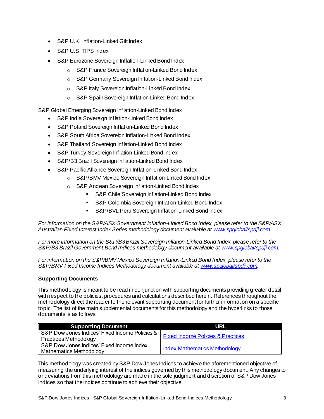- S&P U.K. Inflation-Linked Gilt Index
- S&P U.S. TIPS Index
- S&P Eurozone Sovereign Inflation-Linked Bond Index
	- o S&P France Sovereign Inflation-Linked Bond Index
	- o S&P Germany Sovereign Inflation-Linked Bond Index
	- o S&P Italy Sovereign Inflation-Linked Bond Index
	- o S&P SpainSovereign Inflation-Linked Bond Index

S&P Global Emerging Sovereign Inflation-Linked Bond Index

- S&P India Sovereign Inflation-Linked Bond Index
- S&P Poland Sovereign Inflation-Linked Bond Index
- S&P South Africa Sovereign Inflation-Linked Bond Index
- S&P Thailand Sovereign Inflation-Linked Bond Index
- S&P Turkey Sovereign Inflation-Linked Bond Index
- S&P/B3 Brazil Sovereign Inflation-Linked Bond Index
- S&P Pacific Alliance Sovereign Inflation-Linked Bond Index
	- o S&P/BMV Mexico Sovereign Inflation-Linked Bond Index
	- o S&P Andean Sovereign Inflation-Linked Bond Index
		- S&P Chile Sovereign Inflation-Linked Bond Index
		- S&P Colombia Sovereign Inflation-Linked Bond Index
		- S&P/BVL Peru Sovereign Inflation-Linked Bond Index

*For information on the S&P/ASX Government Inflation-Linked Bond Index, please refer to the S&P/ASX Australian Fixed Interest Index Series methodology document available a[t www.spglobal/spdji.com](http://www.spdji.com/).*

*For more information on the S&P/B3Brazil Sovereign Inflation-Linked Bond Index, please refer to the S&P/B3 Brazil Government Bond Indices methodology document available a[t www.spglobal/spdji.com](http://www.spdji.com/).*

*For information on the S&P/BMV Mexico Sovereign Inflation-Linked Bond Index, please refer to the S&P/BMV Fixed Income Indices Methodology document available a[t www.spglobal/spdji.com](http://www.spdji.com/).*

### <span id="page-3-0"></span>**Supporting Documents**

This methodology is meant to be read in conjunction with supporting documents providing greater detail with respect to the policies, procedures and calculations described herein. References throughout the methodology direct the reader to the relevant supporting document for further information on a specific topic. The list of the main supplemental documents for this methodology and the hyperlinks to those documents is as follows:

| <b>Supporting Document</b>                                                     | URL                                          |
|--------------------------------------------------------------------------------|----------------------------------------------|
| S&P Dow Jones Indices' Fixed Income Policies &<br><b>Practices Methodology</b> | <b>Fixed Income Policies &amp; Practices</b> |
| S&P Dow Jones Indices' Fixed Income Index<br>Mathematics Methodology           | <b>Index Mathematics Methodology</b>         |

This methodology was created by S&P Dow Jones Indices to achieve the aforementioned objective of measuring the underlying interest of the indices governed by this methodology document. Any changes to or deviations from this methodology are made in the sole judgment and discretion of S&P Dow Jones Indices so that the indices continue to achieve their objective.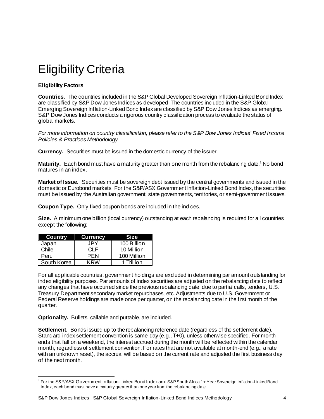## <span id="page-4-0"></span>Eligibility Criteria

### <span id="page-4-1"></span>**Eligibility Factors**

**Countries.** The countries included in the S&P Global Developed Sovereign Inflation-Linked Bond Index are classified by S&P Dow Jones Indices as developed. The countries included in the S&P Global Emerging Sovereign Inflation-Linked Bond Index are classified by S&P Dow Jones Indices as emerging. S&P Dow Jones Indices conducts a rigorous country classification process to evaluate the status of global markets.

*For more information on country classification, please refer to the S&P Dow Jones Indices' Fixed Income Policies & Practices Methodology.*

**Currency.** Securities must be issued in the domestic currency of the issuer.

**Maturity.** Each bond must have a maturity greater than one month from the rebalancing date.<sup>1</sup> No bond matures in an index.

**Market of Issue.** Securities must be sovereign debt issued by the central governments and issued in the domestic or Eurobond markets. For the S&P/ASX Government Inflation-Linked Bond Index, the securities must be issued by the Australian government, state governments, territories, or semi-government issuers.

**Coupon Type.** Only fixed coupon bonds are included in the indices.

**Size.** A minimum one billion (local currency) outstanding at each rebalancing is required for all countries except the following:

| <b>Country</b> | <b>Currency</b> | <b>Size</b> |
|----------------|-----------------|-------------|
| Japan          | JPY             | 100 Billion |
| Chile          | CLE             | 10 Million  |
| Peru           | <b>PFN</b>      | 100 Million |
| South Korea    | KRW             | 1 Trillion  |

For all applicable countries, government holdings are excluded in determining par amount outstanding for index eligibility purposes. Par amounts of index securities are adjusted on the rebalancing date to reflect any changes that have occurred since the previous rebalancing date, due to partial calls, tenders, U.S. Treasury Department secondary market repurchases, etc. Adjustments due to U.S. Government or Federal Reserve holdings are made once per quarter, on the rebalancing date in the first month of the quarter.

**Optionality.** Bullets, callable and puttable, are included.

**Settlement.** Bonds issued up to the rebalancing reference date (regardless of the settlement date). Standard index settlement convention is same-day (e.g., T+0), unless otherwise specified. For monthends that fall on a weekend, the interest accrued during the month will be reflected within the calendar month, regardless of settlement convention. For rates that are not available at month-end (e.g., a rate with an unknown reset), the accrual will be based on the current rate and adjusted the first business day of the next month.

<sup>1</sup> For the S&P/ASX Government Inflation-Linked Bond Index and S&P South Africa 1+ Year Sovereign Inflation-Linked Bond Index, each bond must have a maturity greater than one year from the rebalancing date.

S&P Dow Jones Indices: S&P Global Sovereign Inflation-Linked Bond Indices Methodology 44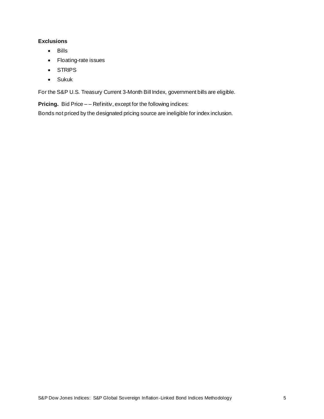### **Exclusions**

- Bills
- Floating-rate issues
- STRIPS
- Sukuk

For the S&P U.S. Treasury Current 3-Month Bill Index, government bills are eligible.

**Pricing.** Bid Price  $-$  – Refinitiv, except for the following indices:

Bonds not priced by the designated pricing source are ineligible for index inclusion.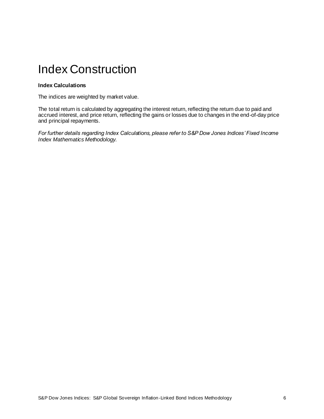### <span id="page-6-0"></span>Index Construction

#### <span id="page-6-1"></span>**Index Calculations**

The indices are weighted by market value.

The total return is calculated by aggregating the interest return, reflecting the return due to paid and accrued interest, and price return, reflecting the gains or losses due to changes in the end-of-day price and principal repayments.

*For further details regarding Index Calculations, please refer to S&P Dow Jones Indices' Fixed Income Index Mathematics Methodology.*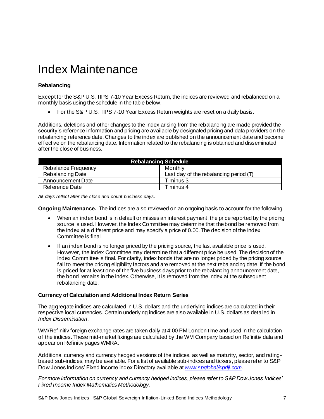### <span id="page-7-0"></span>Index Maintenance

### <span id="page-7-1"></span>**Rebalancing**

Except for the S&P U.S. TIPS 7-10 Year Excess Return, the indices are reviewed and rebalanced on a monthly basis using the schedule in the table below.

• For the S&P U.S. TIPS 7-10 Year Excess Return weights are reset on a daily basis.

Additions, deletions and other changes to the index arising from the rebalancing are made provided the security's reference information and pricing are available by designated pricing and data providers on the rebalancing reference date. Changes to the index are published on the announcement date and become effective on the rebalancing date. Information related to the rebalancing is obtained and disseminated after the close of business.

| <b>Rebalancing Schedule</b> |                                        |  |  |  |
|-----------------------------|----------------------------------------|--|--|--|
| <b>Rebalance Frequency</b>  | Monthly                                |  |  |  |
| <b>Rebalancing Date</b>     | Last day of the rebalancing period (T) |  |  |  |
| Announcement Date           | T minus 3                              |  |  |  |
| Reference Date              | T minus 4                              |  |  |  |

*All days reflect after the close and count business days.*

**Ongoing Maintenance.** The indices are also reviewed on an ongoing basis to account for the following:

- When an index bond is in default or misses an interest payment, the price reported by the pricing source is used. However, the Index Committee may determine that the bond be removed from the index at a different price and may specify a price of 0.00. The decision of the Index Committee is final.
- If an index bond is no longer priced by the pricing source, the last available price is used. However, the Index Committee may determine that a different price be used. The decision of the Index Committee is final. For clarity, index bonds that are no longer priced by the pricing source fail to meet the pricing eligibility factors and are removed at the next rebalancing date. If the bond is priced for at least one of the five business days prior to the rebalancing announcement date, the bond remains in the index. Otherwise, it is removed from the index at the subsequent rebalancing date.

#### <span id="page-7-2"></span>**Currency of Calculation and Additional Index Return Series**

The aggregate indices are calculated in U.S. dollars and the underlying indices are calculated in their respective local currencies. Certain underlying indices are also available in U.S. dollars as detailed in *Index Dissemination*.

WM/Refinitiv foreign exchange rates are taken daily at 4:00 PM London time and used in the calculation of the indices. These mid-market fixings are calculated by the WM Company based on Refinitiv data and appear on Refinitiv pages WMRA.

Additional currency and currency hedged versions of the indices, as well as maturity, sector, and ratingbased sub-indices, may be available. For a list of available sub-indices and tickers, please refer to S&P Dow Jones Indices' Fixed Income Index Directory available at *[www.spglobal/spdji.com](http://www.spdji.com/)*.

*For more information on currency and currency hedged indices, please refer to S&P Dow Jones Indices' Fixed Income Index Mathematics Methodology.*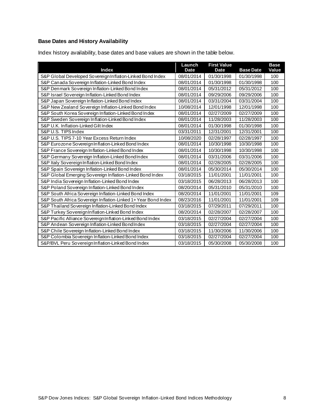### <span id="page-8-0"></span>**Base Dates and History Availability**

Index history availability, base dates and base values are shown in the table below.

| <b>Index</b>                                                   | Launch<br><b>Date</b> | <b>First Value</b><br><b>Date</b> | <b>Base Date</b> | <b>Base</b><br>Value |
|----------------------------------------------------------------|-----------------------|-----------------------------------|------------------|----------------------|
| S&P Global Developed Sovereign Inflation-Linked Bond Index     | 08/01/2014            | 01/30/1998                        | 01/30/1998       | 100                  |
| S&P Canada Sovereign Inflation-Linked Bond Index               | 08/01/2014            | 01/30/1998                        | 01/30/1998       | 100                  |
| S&P Denmark Sovereign Inflation-Linked Bond Index              | 08/01/2014            | 05/31/2012                        | 05/31/2012       | 100                  |
| S&P Israel Sovereign Inflation-Linked Bond Index               | 08/01/2014            | 09/29/2006                        | 09/29/2006       | 100                  |
| S&P Japan Sovereign Inflation-Linked Bond Index                | 08/01/2014            | 03/31/2004                        | 03/31/2004       | 100                  |
| S&P New Zealand Sovereign Inflation-Linked Bond Index          | 10/08/2014            | 12/01/1998                        | 12/01/1998       | 100                  |
| S&P South Korea Sovereign Inflation-Linked Bond Index          | 08/01/2014            | 02/27/2009                        | 02/27/2009       | 100                  |
| S&P Sweden Sovereign Inflation-Linked Bond Index               | 08/01/2014            | 11/28/2003                        | 11/28/2003       | 100                  |
| S&P U.K. Inflation-Linked Gilt Index                           | 08/01/2014            | 01/30/1998                        | 01/30/1998       | 100                  |
| S&P U.S. TIPS Index                                            | 03/31/2011            | 12/31/2001                        | 12/31/2001       | 100                  |
| S&P U.S. TIPS 7-10 Year Excess Return Index                    | 10/08/2020            | 02/28/1997                        | 02/28/1997       | 100                  |
| S&P Eurozone Sovereign Inflation-Linked Bond Index             | 08/01/2014            | 10/30/1998                        | 10/30/1998       | 100                  |
| S&P France Sovereign Inflation-Linked Bond Index               | 08/01/2014            | 10/30/1998                        | 10/30/1998       | 100                  |
| S&P Germany Sovereign Inflation-Linked Bond Index              | 08/01/2014            | 03/31/2006                        | 03/31/2006       | 100                  |
| S&P Italy Sovereign Inflation-Linked Bond Index                | 08/01/2014            | 02/28/2005                        | 02/28/2005       | 100                  |
| S&P Spain Sovereign Inflation-Linked Bond Index                | 08/01/2014            | 05/30/2014                        | 05/30/2014       | 100                  |
| S&P Global Emerging Sovereign Inflation-Linked Bond Index      | 03/18/2015            | 11/01/2001                        | 11/01/2001       | 100                  |
| S&P India Sovereign Inflation-Linked Bond Index                | 03/18/2015            | 06/28/2013                        | 06/28/2013       | 100                  |
| S&P Poland Sovereign Inflation-Linked Bond Index               | 08/20/2014            | 05/31/2010                        | 05/31/2010       | 100                  |
| S&P South Africa Sovereign Inflation-Linked Bond Index         | 08/20/2014            | 11/01/2001                        | 11/01/2001       | 109                  |
| S&P South Africa Sovereign Inflation-Linked 1+ Year Bond Index | 08/23/2016            | 11/01/2001                        | 11/01/2001       | 109                  |
| S&P Thailand Sovereign Inflation-Linked Bond Index             | 03/18/2015            | 07/29/2011                        | 07/29/2011       | 100                  |
| S&P Turkey Sovereign Inflation-Linked Bond Index               | 08/20/2014            | 02/28/2007                        | 02/28/2007       | 100                  |
| S&P Pacific Alliance Sovereign Inflation-Linked Bond Index     | 03/18/2015            | 02/27/2004                        | 02/27/2004       | 100                  |
| S&P Andean Sovereign Inflation-Linked BondIndex                | 03/18/2015            | 02/27/2004                        | 02/27/2004       | 100                  |
| S&P Chile Sovereign Inflation-Linked Bond Index                | 03/18/2015            | 11/30/2006                        | 11/30/2006       | 100                  |
| S&P Colombia Sovereign Inflation-Linked Bond Index             | 03/18/2015            | 02/27/2004                        | 02/27/2004       | 100                  |
| S&P/BVL Peru Sovereign Inflation-Linked Bond Index             | 03/18/2015            | 05/30/2008                        | 05/30/2008       | 100                  |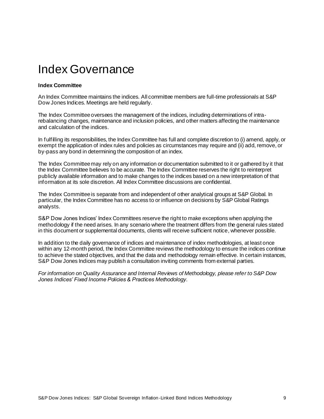### <span id="page-9-0"></span>Index Governance

#### <span id="page-9-1"></span>**Index Committee**

An Index Committee maintains the indices. All committee members are full-time professionals at S&P Dow Jones Indices. Meetings are held regularly.

The Index Committee oversees the management of the indices, including determinations of intrarebalancing changes, maintenance and inclusion policies, and other matters affecting the maintenance and calculation of the indices.

In fulfilling its responsibilities, the Index Committee has full and complete discretion to (i) amend, apply, or exempt the application of index rules and policies as circumstances may require and (ii) add, remove, or by-pass any bond in determining the composition of an index.

The Index Committee may rely on any information or documentation submitted to it or gathered by it that the Index Committee believes to be accurate. The Index Committee reserves the right to reinterpret publicly available information and to make changes to the indices based on a new interpretation of that information at its sole discretion. All Index Committee discussions are confidential.

The Index Committee is separate from and independent of other analytical groups at S&P Global. In particular, the Index Committee has no access to or influence on decisions by S&P Global Ratings analysts.

S&P Dow Jones Indices' Index Committees reserve the right to make exceptions when applying the methodology if the need arises. In any scenario where the treatment differs from the general rules stated in this document or supplemental documents, clients will receive sufficient notice, whenever possible.

In addition to the daily governance of indices and maintenance of index methodologies, at least once within any 12-month period, the Index Committee reviews the methodology to ensure the indices continue to achieve the stated objectives, and that the data and methodology remain effective. In certain instances, S&P Dow Jones Indices may publish a consultation inviting comments from external parties.

*For information on Quality Assurance and Internal Reviews of Methodology, please refer to S&P Dow Jones Indices' Fixed Income Policies & Practices Methodology*.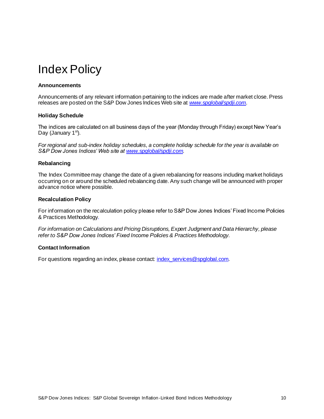### <span id="page-10-0"></span>Index Policy

#### <span id="page-10-1"></span>**Announcements**

Announcements of any relevant information pertaining to the indices are made after market close. Press releases are posted on the S&P Dow Jones Indices Web site at *[www.spglobal/spdji.com](http://www.spdji.com/).*

#### <span id="page-10-2"></span>**Holiday Schedule**

The indices are calculated on all business days of the year (Monday through Friday) except New Year's Day (January 1<sup>st</sup>).

*For regional and sub-index holiday schedules, a complete holiday schedule for the year is available on S&P Dow Jones Indices' Web site a[t www.spglobal/spdji.com](http://www.spdji.com/).*

#### <span id="page-10-3"></span>**Rebalancing**

The Index Committee may change the date of a given rebalancing for reasons including market holidays occurring on or around the scheduled rebalancing date. Any such change will be announced with proper advance notice where possible.

#### <span id="page-10-4"></span>**Recalculation Policy**

For information on the recalculation policy please refer to S&P Dow Jones Indices' Fixed Income Policies & Practices Methodology.

*For information on Calculations and Pricing Disruptions, Expert Judgment and Data Hierarchy, please refer to S&P Dow Jones Indices' Fixed Income Policies & Practices Methodology*.

#### <span id="page-10-5"></span>**Contact Information**

For questions regarding an index, please contact[: index\\_services@spglobal.com](mailto:index_services@spglobal.com).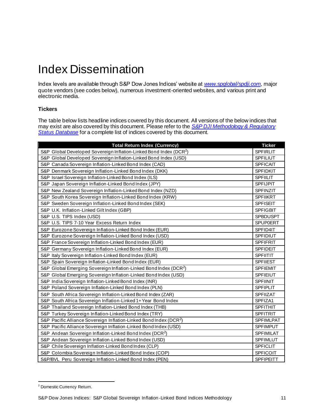### <span id="page-11-0"></span>Index Dissemination

Index levels are available through S&P Dow Jones Indices' website at *[www.spglobal/spdji.com](http://www.spdji.com/)*, major quote vendors (see codes below), numerous investment-oriented websites, and various print and electronic media.

### <span id="page-11-1"></span>**Tickers**

The table below lists headline indices covered by this document. All versions of the below indices that may exist are also covered by this document. Please refer to the *[S&P DJI Methodology & Regulatory](https://www.spglobal.com/spdji/en/governance/methodology-and-regulatory-status/)  [Status Database](https://www.spglobal.com/spdji/en/governance/methodology-and-regulatory-status/)* for a complete list of indices covered by this document.

| <b>Total Return Index (Currency)</b>                                           | <b>Ticker</b>    |
|--------------------------------------------------------------------------------|------------------|
| S&P Global Developed Sovereign Inflation-Linked Bond Index (DCR <sup>2</sup> ) | <b>SPFIRLIT</b>  |
| S&P Global Developed Sovereign Inflation-Linked Bond Index (USD)               | <b>SPFILIUT</b>  |
| S&P Canada Sovereign Inflation-Linked Bond Index (CAD)                         | <b>SPFICAIT</b>  |
| S&P Denmark Sovereign Inflation-Linked Bond Index (DKK)                        | <b>SPFIDKIT</b>  |
| S&P Israel Sovereign Inflation-Linked Bond Index (ILS)                         | <b>SPFIILIT</b>  |
| S&P Japan Sovereign Inflation-Linked Bond Index (JPY)                          | <b>SPFIJPIT</b>  |
| S&P New Zealand Sovereign Inflation-Linked Bond Index (NZD)                    | SPFINZIT         |
| S&P South Korea Sovereign Inflation-Linked Bond Index (KRW)                    | <b>SPFIIKRT</b>  |
| S&P Sweden Sovereign Inflation-Linked Bond Index (SEK)                         | <b>SPFISEIT</b>  |
| S&P U.K. Inflation-Linked Gilt Index (GBP)                                     | <b>SPFIGBIT</b>  |
| S&P U.S. TIPS Index (USD)                                                      | <b>SPBDUSPT</b>  |
| S&P U.S. TIPS 7-10 Year Excess Return Index                                    | <b>SPUP0ERT</b>  |
| S&P Eurozone Sovereign Inflation-Linked Bond Index (EUR)                       | SPFID4IT         |
| S&P Eurozone Sovereign Inflation-Linked Bond Index (USD)                       | <b>SPFIDIUT</b>  |
| S&P France Sovereign Inflation-Linked Bond Index (EUR)                         | <b>SPFIFRIT</b>  |
| S&P Germany Sovereign Inflation-Linked Bond Index (EUR)                        | <b>SPFIDEIT</b>  |
| S&P Italy Sovereign Inflation-Linked Bond Index (EUR)                          | <b>SPFIITIT</b>  |
| S&P Spain Sovereign Inflation-Linked Bond Index (EUR)                          | <b>SPFIIEST</b>  |
| S&P Global Emerging Sovereign Inflation-Linked Bond Index (DCR <sup>2</sup> )  | <b>SPFIEMIT</b>  |
| S&P Global Emerging Sovereign Inflation-Linked Bond Index (USD)                | <b>SPFIEIUT</b>  |
| S&P India Sovereign Inflation-Linked Bond Index (INR)                          | SPFIINIT         |
| S&P Poland Sovereign Inflation-Linked Bond Index (PLN)                         | <b>SPFIPLIT</b>  |
| S&P South Africa Sovereign Inflation-Linked Bond Index (ZAR)                   | SPFIIZAT         |
| S&P South Africa Sovereign Inflation-Linked 1+ Year Bond Index                 | SPFIZA1          |
| S&P Thailand Sovereign Inflation-Linked Bond Index (THB)                       | <b>SPFITHIT</b>  |
| S&P Turkey Sovereign Inflation-Linked Bond Index (TRY)                         | <b>SPFITRIT</b>  |
| S&P Pacific Alliance Sovereign Inflation-Linked Bond Index (DCR <sup>2</sup> ) | <b>SPFIMLPAT</b> |
| S&P Pacific Alliance Sovereign Inflation-Linked Bond Index (USD)               | <b>SPFIMPUT</b>  |
| S&P Andean Sovereign Inflation-Linked Bond Index (DCR <sup>2</sup> )           | <b>SPFIMILAT</b> |
| S&P Andean Sovereign Inflation-Linked Bond Index (USD)                         | <b>SPFIMLUT</b>  |
| S&P Chile Sovereign Inflation-Linked Bond Index (CLP)                          | SPFICLIT         |
| S&P Colombia Sovereign Inflation-Linked Bond Index (COP)                       | SPFICOIT         |
| S&P/BVL Peru Sovereign Inflation-Linked Bond Index (PEN)                       | <b>SPFIPEITT</b> |

<sup>2</sup> Domestic Currency Return.

S&P Dow Jones Indices: S&P Global Sovereign Inflation-Linked Bond Indices Methodology 11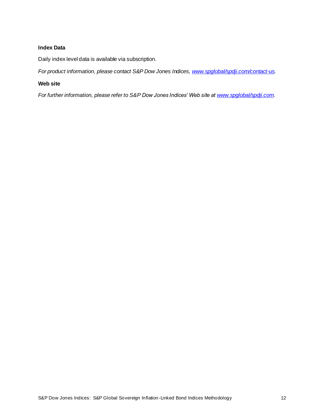### <span id="page-12-0"></span>**Index Data**

Daily index level data is available via subscription.

<span id="page-12-1"></span>*For product information, please contact S&P Dow Jones Indices[, www.spglobal/spdji.com/contact-us](http://www.spdji.com/contact-us).*

### **Web site**

*For further information, please refer to S&P Dow Jones Indices' Web site a[t www.spglobal/spdji.com](http://www.spdji.com/).*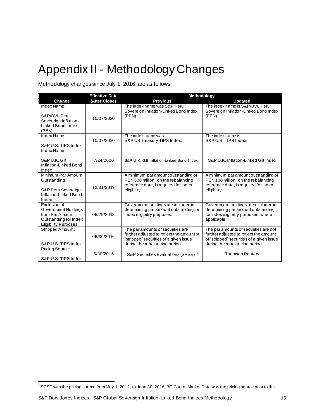### <span id="page-13-0"></span>Appendix II - Methodology Changes

Methodology changes since July 1, 2016, are as follows:

|                                                                                                                 | <b>Effective Date</b> | Methodology                                                                                                                                                |                                                                                                                                                                |
|-----------------------------------------------------------------------------------------------------------------|-----------------------|------------------------------------------------------------------------------------------------------------------------------------------------------------|----------------------------------------------------------------------------------------------------------------------------------------------------------------|
| Change                                                                                                          | (After Close)         | <b>Previous</b>                                                                                                                                            | <b>Updated</b>                                                                                                                                                 |
| Index Name:<br>S&P/BVL Peru<br>Sovereign Inflation-<br>Linked Bond Index<br>(PEN)                               | 10/07/2020            | The index name was S&P Peru<br>Sovereign Inflation-Linked Bond Index<br>$(PEN)$ .                                                                          | The index name is S&P/BVL Peru<br>Sovereign Inflation-Linked Bond Index<br>$(PEN)$ .                                                                           |
| Index Name:<br>S&P U.S. TIPS Index                                                                              | 10/07/2020            | The index name was<br>S&P US Treasury TIPS Index.                                                                                                          | The index name is<br>S&P U.S. TIPS Index.                                                                                                                      |
| Index Name:<br>S&P U.K. Gilt<br>Inflation-Linked Bond<br>Index                                                  | 7/24/2020             | S&P U.K. Gilt Inflation-Linked Bond Index                                                                                                                  | S&P U.K. Inflation-Linked Gilt Index                                                                                                                           |
| Minimum Par Amount<br>Outstanding:<br>S&P Peru Sovereign<br>Inflation-Linked Bond<br>Index                      | 12/31/2019            | A minimum paramount outstanding of<br>PEN 500 million, on the rebalancing<br>reference date, is required for index<br>eligibility.                         | A minimum paramount outstanding of<br>PEN 100 million, on the rebalancing<br>reference date, is required for index<br>eligibility.                             |
| Exclusion of<br>Government Holdings<br>from Par Amount<br>Outstanding for Index<br><b>Eligibility Purposes:</b> | 06/29/2018            | Government holdings are included in<br>determining par amount outstanding for<br>index eligibility purposes.                                               | Government holdings are excluded in<br>determining par amount outstanding<br>for index eligibility purposes, where<br>applicable.                              |
| <b>Stripped Amount:</b><br>S&P U.S. TIPS Index                                                                  | 06/30/2016            | The par amounts of securities are<br>further adjusted to reflect the amount of<br>"stripped" securities of a given issue<br>during the rebalancing period. | The par amounts of securities are not<br>further adjusted to reflect the amount<br>of "stripped" securities of a given issue<br>during the rebalancing period. |
| Pricing Source:<br>S&P U.S. TIPS Index                                                                          | 6/30/2016             | S&P Securities Evaluations (SPSE) <sup>3</sup>                                                                                                             | <b>Thomson Reuters</b>                                                                                                                                         |

<sup>&</sup>lt;sup>3</sup> SPSE was the pricing source from May 1, 2012, to June 30, 2016. BG Cantor Market Data was the pricing source prior to this.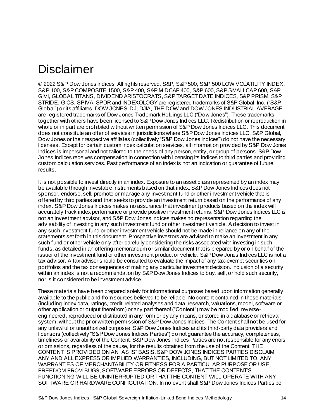### <span id="page-14-0"></span>Disclaimer

© 2022 S&P Dow Jones Indices. All rights reserved. S&P, S&P 500, S&P 500 LOW VOLATILITY INDEX, S&P 100, S&P COMPOSITE 1500, S&P 400, S&P MIDCAP 400, S&P 600, S&P SMALLCAP 600, S&P GIVI, GLOBAL TITANS, DIVIDEND ARISTOCRATS, S&P TARGET DATE INDICES, S&P PRISM, S&P STRIDE, GICS, SPIVA, SPDR and INDEXOLOGY are registered trademarks of S&P Global, Inc. ("S&P Global") or its affiliates. DOW JONES, DJ, DJIA, THE DOW and DOW JONES INDUSTRIAL AVERAGE are registered trademarks of Dow Jones Trademark Holdings LLC ("Dow Jones"). These trademarks together with others have been licensed to S&P Dow Jones Indices LLC. Redistribution or reproduction in whole or in part are prohibited without written permission of S&P Dow Jones Indices LLC. This document does not constitute an offer of services in jurisdictions where S&P Dow Jones Indices LLC, S&P Global, Dow Jones or their respective affiliates (collectively "S&P Dow Jones Indices") do not have the necessary licenses. Except for certain custom index calculation services, all information provided by S&P Dow Jones Indices is impersonal and not tailored to the needs of any person, entity, or group of persons. S&P Dow Jones Indices receives compensation in connection with licensing its indices to third parties and providing custom calculation services. Past performance of an index is not an indication or guarantee of future results.

It is not possible to invest directly in an index. Exposure to an asset class represented by an index may be available through investable instruments based on that index. S&P Dow Jones Indices does not sponsor, endorse, sell, promote or manage any investment fund or other investment vehicle that is offered by third parties and that seeks to provide an investment return based on the performance of any index. S&P Dow Jones Indices makes no assurance that investment products based on the index will accurately track index performance or provide positive investment returns. S&P Dow Jones Indices LLC is not an investment advisor, and S&P Dow Jones Indices makes no representation regarding the advisability of investing in any such investment fund or other investment vehicle. A decision to invest in any such investment fund or other investment vehicle should not be made in reliance on any of the statements set forth in this document. Prospective investors are advised to make an investment in any such fund or other vehicle only after carefully considering the risks associated with investing in such funds, as detailed in an offering memorandum or similar document that is prepared by or on behalf of the issuer of the investment fund or other investment product or vehicle. S&P Dow Jones Indices LLC is not a tax advisor. A tax advisor should be consulted to evaluate the impact of any tax-exempt securities on portfolios and the tax consequences of making any particular investment decision. Inclusion of a security within an index is not a recommendation by S&P Dow Jones Indices to buy, sell, or hold such security, nor is it considered to be investment advice.

These materials have been prepared solely for informational purposes based upon information generally available to the public and from sources believed to be reliable. No content contained in these materials (including index data, ratings, credit-related analyses and data, research, valuations, model, software or other application or output therefrom) or any part thereof ("Content") may be modified, reverseengineered, reproduced or distributed in any form or by any means, or stored in a database or retrieval system, without the prior written permission of S&P Dow Jones Indices. The Content shall not be used for any unlawful or unauthorized purposes. S&P Dow Jones Indices and its third-party data providers and licensors (collectively "S&P Dow Jones Indices Parties") do not guarantee the accuracy, completeness, timeliness or availability of the Content. S&P Dow Jones Indices Parties are not responsible for any errors or omissions, regardless of the cause, for the results obtained from the use of the Content. THE CONTENT IS PROVIDED ON AN "AS IS" BASIS. S&P DOW JONES INDICES PARTIES DISCLAIM ANY AND ALL EXPRESS OR IMPLIED WARRANTIES, INCLUDING, BUT NOT LIMITED TO, ANY WARRANTIES OF MERCHANTABILITY OR FITNESS FOR A PARTICULAR PURPOSE OR USE, FREEDOM FROM BUGS, SOFTWARE ERRORS OR DEFECTS, THAT THE CONTENT'S FUNCTIONING WILL BE UNINTERRUPTED OR THAT THE CONTENT WILL OPERATE WITH ANY SOFTWARE OR HARDWARE CONFIGURATION. In no event shall S&P Dow Jones Indices Parties be